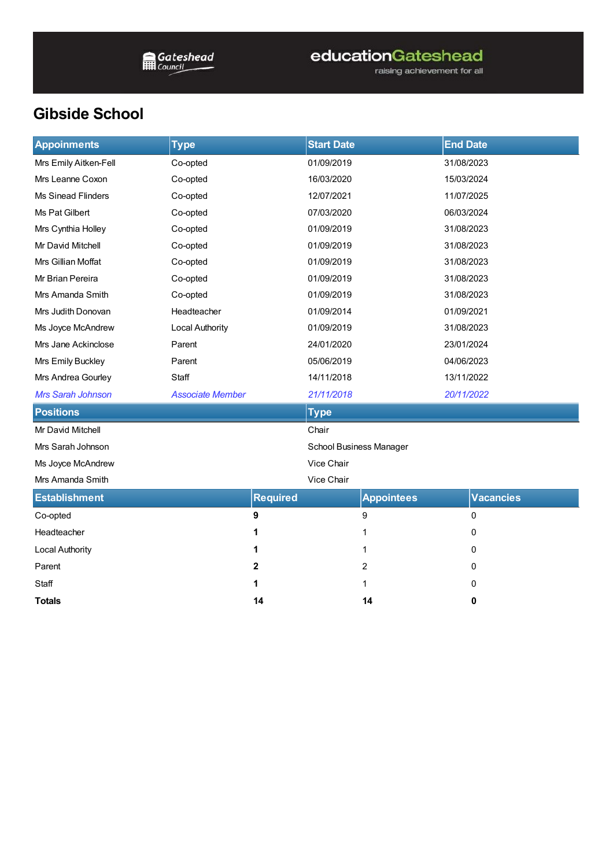## educationGateshead

raising achievement for all

## **Gibside School**

| <b>Appoinments</b>        | <b>Type</b>             |                 | <b>Start Date</b>       |                   | <b>End Date</b> |                  |  |
|---------------------------|-------------------------|-----------------|-------------------------|-------------------|-----------------|------------------|--|
| Mrs Emily Aitken-Fell     | Co-opted                |                 | 01/09/2019              |                   | 31/08/2023      |                  |  |
| Mrs Leanne Coxon          | Co-opted                |                 | 16/03/2020              |                   | 15/03/2024      |                  |  |
| <b>Ms Sinead Flinders</b> | Co-opted                |                 | 12/07/2021              |                   | 11/07/2025      |                  |  |
| Ms Pat Gilbert            | Co-opted                |                 | 07/03/2020              |                   | 06/03/2024      |                  |  |
| Mrs Cynthia Holley        | Co-opted                |                 | 01/09/2019              |                   | 31/08/2023      |                  |  |
| Mr David Mitchell         | Co-opted                |                 | 01/09/2019              |                   | 31/08/2023      |                  |  |
| Mrs Gillian Moffat        | Co-opted                |                 | 01/09/2019              |                   | 31/08/2023      |                  |  |
| Mr Brian Pereira          | Co-opted                |                 | 01/09/2019              |                   | 31/08/2023      |                  |  |
| Mrs Amanda Smith          | Co-opted                |                 | 01/09/2019              |                   | 31/08/2023      |                  |  |
| Mrs Judith Donovan        | Headteacher             |                 | 01/09/2014              |                   | 01/09/2021      |                  |  |
| Ms Joyce McAndrew         | <b>Local Authority</b>  |                 | 01/09/2019              |                   | 31/08/2023      |                  |  |
| Mrs Jane Ackinclose       | Parent                  |                 | 24/01/2020              |                   | 23/01/2024      |                  |  |
| Mrs Emily Buckley         | Parent                  |                 | 05/06/2019              |                   | 04/06/2023      |                  |  |
| Mrs Andrea Gourley        | Staff                   |                 | 14/11/2018              |                   |                 | 13/11/2022       |  |
| Mrs Sarah Johnson         | <b>Associate Member</b> |                 | 21/11/2018              |                   |                 | 20/11/2022       |  |
| <b>Positions</b>          |                         |                 | <b>Type</b>             |                   |                 |                  |  |
| Mr David Mitchell         |                         |                 | Chair                   |                   |                 |                  |  |
| Mrs Sarah Johnson         |                         |                 | School Business Manager |                   |                 |                  |  |
| Ms Joyce McAndrew         |                         | Vice Chair      |                         |                   |                 |                  |  |
| Mrs Amanda Smith          |                         |                 | Vice Chair              |                   |                 |                  |  |
| <b>Establishment</b>      |                         | <b>Required</b> |                         | <b>Appointees</b> |                 | <b>Vacancies</b> |  |
| Co-opted                  |                         | 9               |                         | 9                 |                 | 0                |  |
| Headteacher               |                         | 1               |                         | 1                 |                 | 0                |  |
| <b>Local Authority</b>    |                         | 1               |                         | 1                 |                 | 0                |  |
| Parent                    |                         | $\mathbf 2$     |                         | $\overline{c}$    |                 | 0                |  |
| Staff                     |                         | 1               |                         | 1                 |                 | 0                |  |
| <b>Totals</b>             |                         | 14              |                         | 14                |                 | 0                |  |